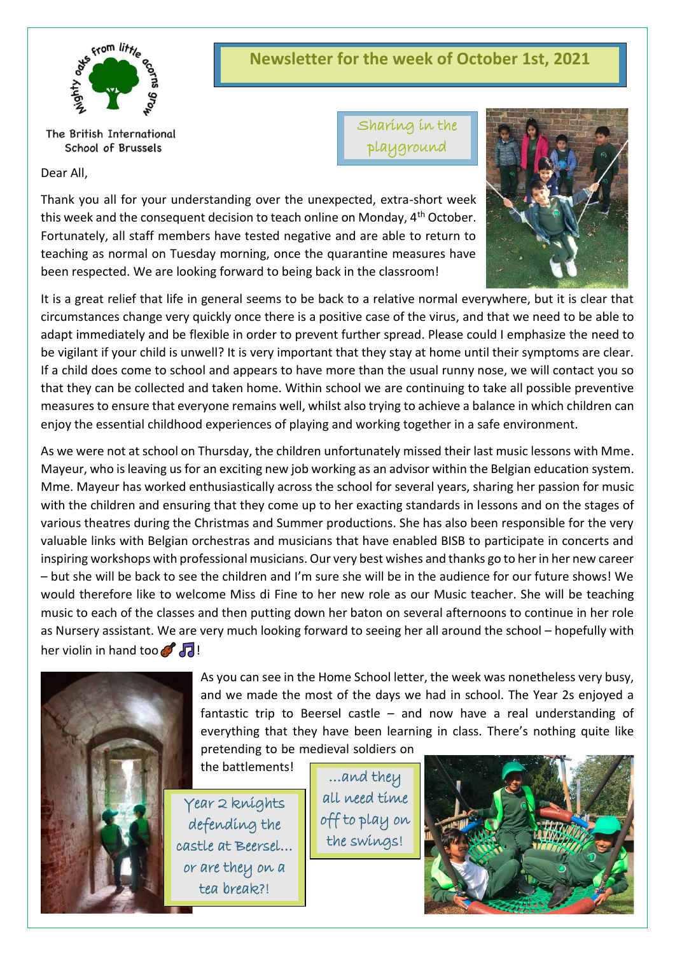

The British International School of Brussels

Dear All,

**Newsletter for the week of October 1st, 2021**

Sharing in the playground



Thank you all for your understanding over the unexpected, extra-short week this week and the consequent decision to teach online on Monday, 4<sup>th</sup> October. Fortunately, all staff members have tested negative and are able to return to teaching as normal on Tuesday morning, once the quarantine measures have been respected. We are looking forward to being back in the classroom!

It is a great relief that life in general seems to be back to a relative normal everywhere, but it is clear that circumstances change very quickly once there is a positive case of the virus, and that we need to be able to adapt immediately and be flexible in order to prevent further spread. Please could I emphasize the need to be vigilant if your child is unwell? It is very important that they stay at home until their symptoms are clear. If a child does come to school and appears to have more than the usual runny nose, we will contact you so that they can be collected and taken home. Within school we are continuing to take all possible preventive measures to ensure that everyone remains well, whilst also trying to achieve a balance in which children can enjoy the essential childhood experiences of playing and working together in a safe environment.

As we were not at school on Thursday, the children unfortunately missed their last music lessons with Mme. Mayeur, who is leaving us for an exciting new job working as an advisor within the Belgian education system. Mme. Mayeur has worked enthusiastically across the school for several years, sharing her passion for music with the children and ensuring that they come up to her exacting standards in lessons and on the stages of various theatres during the Christmas and Summer productions. She has also been responsible for the very valuable links with Belgian orchestras and musicians that have enabled BISB to participate in concerts and inspiring workshops with professional musicians. Our very best wishes and thanks go to her in her new career – but she will be back to see the children and I'm sure she will be in the audience for our future shows! We would therefore like to welcome Miss di Fine to her new role as our Music teacher. She will be teaching music to each of the classes and then putting down her baton on several afternoons to continue in her role as Nursery assistant. We are very much looking forward to seeing her all around the school – hopefully with her violin in hand too  $\mathcal{F}$   $\Box$ !



As you can see in the Home School letter, the week was nonetheless very busy, and we made the most of the days we had in school. The Year 2s enjoyed a fantastic trip to Beersel castle – and now have a real understanding of everything that they have been learning in class. There's nothing quite like pretending to be medieval soldiers on

the battlements!

Year 2 knights defending the castle at Beersel… or are they on a tea break?!

…and they all need time off to play on the swings!

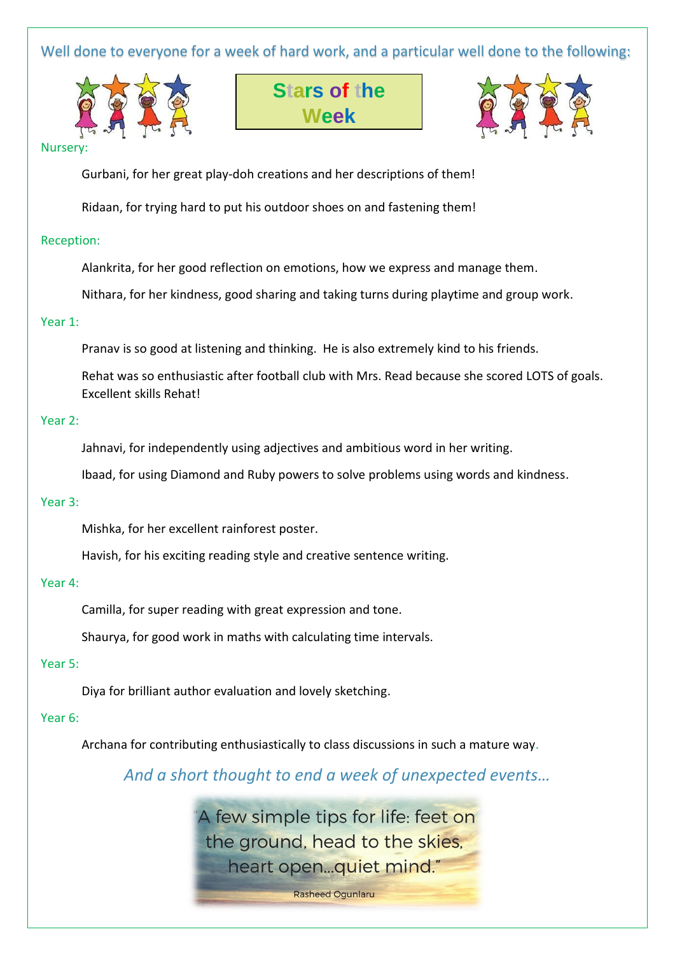## Well done to everyone for a week of hard work, and a particular well done to the following:







#### Nurser

Gurbani, for her great play-doh creations and her descriptions of them!

Ridaan, for trying hard to put his outdoor shoes on and fastening them!

### Reception:

Alankrita, for her good reflection on emotions, how we express and manage them.

Nithara, for her kindness, good sharing and taking turns during playtime and group work.

#### Year 1:

Pranav is so good at listening and thinking. He is also extremely kind to his friends.

Rehat was so enthusiastic after football club with Mrs. Read because she scored LOTS of goals. Excellent skills Rehat!

### Year 2:

Jahnavi, for independently using adjectives and ambitious word in her writing.

Ibaad, for using Diamond and Ruby powers to solve problems using words and kindness.

### Year 3:

Mishka, for her excellent rainforest poster.

Havish, for his exciting reading style and creative sentence writing.

#### Year 4:

Camilla, for super reading with great expression and tone.

Shaurya, for good work in maths with calculating time intervals.

### Year 5:

Diya for brilliant author evaluation and lovely sketching.

### Year 6:

Archana for contributing enthusiastically to class discussions in such a mature way.

*And a short thought to end a week of unexpected events…*

A few simple tips for life: feet on the ground, head to the skies, heart open...quiet mind."

**Rasheed Ogunlaru**